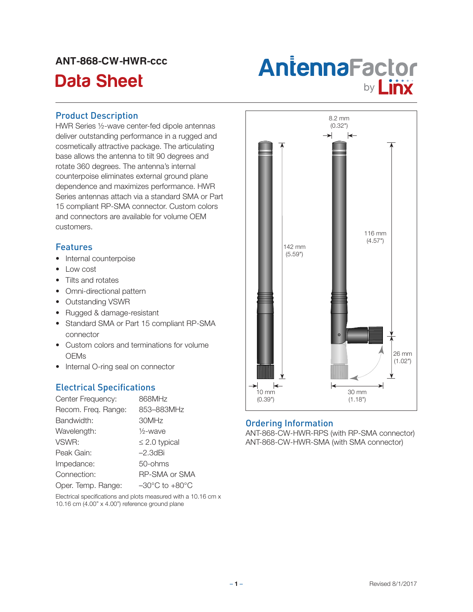# ANT-868-CW-HWR-ccc

# Antenna Factor<br>Data Sheet **Antenna Factor**

#### Product Description

HWR Series ½-wave center-fed dipole antennas deliver outstanding performance in a rugged and cosmetically attractive package. The articulating base allows the antenna to tilt 90 degrees and rotate 360 degrees. The antenna's internal counterpoise eliminates external ground plane dependence and maximizes performance. HWR Series antennas attach via a standard SMA or Part 15 compliant RP-SMA connector. Custom colors and connectors are available for volume OEM customers.

## **Features**

- Internal counterpoise
- Low cost
- Tilts and rotates
- Omni-directional pattern
- • Outstanding VSWR
- • Rugged & damage-resistant
- Standard SMA or Part 15 compliant RP-SMA connector
- Custom colors and terminations for volume **OEMs**
- Internal O-ring seal on connector

# Electrical Specifications

| Center Frequency:   | 868MHz                             |
|---------------------|------------------------------------|
| Recom. Freq. Range: | 853-883MHz                         |
| Bandwidth:          | 30MHz                              |
| Wavelength:         | $\frac{1}{2}$ -wave                |
| VSWR:               | $\leq$ 2.0 typical                 |
| Peak Gain:          | $-2.3$ dBi                         |
| Impedance:          | 50-ohms                            |
| Connection:         | <b>RP-SMA or SMA</b>               |
| Oper. Temp. Range:  | $-30^{\circ}$ C to $+80^{\circ}$ C |

Electrical specifications and plots measured with a 10.16 cm x 10.16 cm (4.00" x 4.00") reference ground plane



#### Ordering Information

ANT-868-CW-HWR-RPS (with RP-SMA connector) ANT-868-CW-HWR-SMA (with SMA connector)